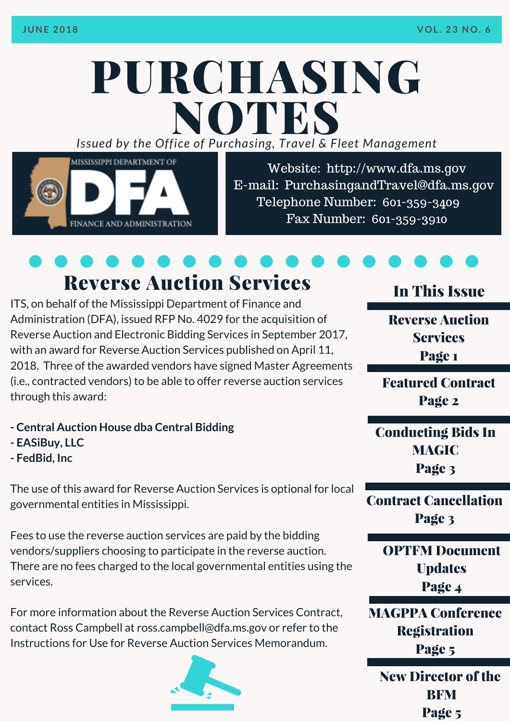# PURCHASING *Issued by the Off ice of Purcha sing, T ravel & Fleet Management* NOTES



Website: http://www.dfa.ms.gov E-mail: [PurchasingandTravel@dfa.ms.gov](http://www.dfa.ms.gov/) Telephone Number: 601-359-3409 Fax Number: 601-359-3910

# Reverse Auction Services

ITS, on behalf of the Mississippi Department of Finance and Administration (DFA), issued RFP No. 4029 for the acquisition of Reverse Auction and Electronic Bidding Services in September 2017, with an award for Reverse Auction Services published on April 11, 2018. Three of the awarded vendors have signed Master Agreements (i.e., contracted vendors) to be able to offer reverse auction services through this award:

- **- Central Auction House dba Central Bidding**
- **- EASiBuy, LLC**
- **- FedBid, Inc**

The use of this award for Reverse Auction Services is optional for local governmental entities in Mississippi.

Fees to use the reverse auction services are paid by the bidding vendors/suppliers choosing to participate in the reverse auction. There are no fees charged to the local governmental entities using the services.

For more information about the Reverse Auction Services Contract, contact Ross Campbell at [ross.campbell@dfa.ms.gov](http://www.dfa.ms.gov/media/6747/instructions-for-use-memo-reverse-auction-services-2018-05-18.pdf) or refer to the Instructions for Use for Reverse Auction Services Memorandum.



## In This Issue

Reverse Auction **Services** Page 1

Featured Contract Page 2

Conducting Bids In MAGIC Page 3

Contract Cancellation Page 3

> OPTFM Document **Updates** Page 4

MAGPPA Conference Registration Page 5

New Director of the **RFM** Page 5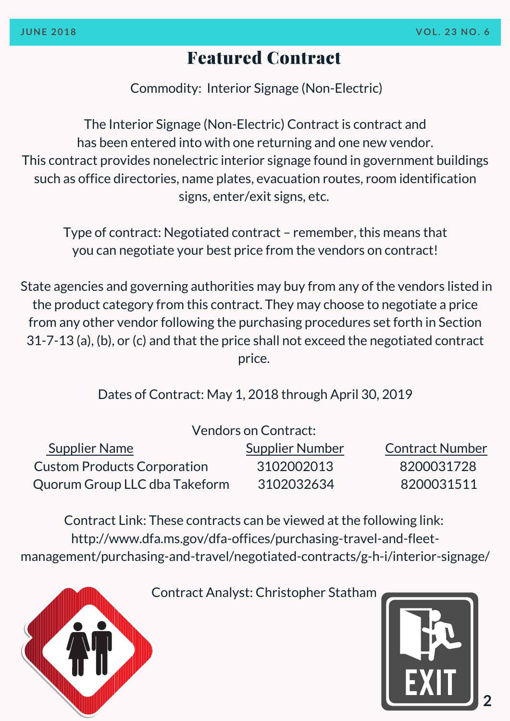## Featured Contract

Commodity: Interior Signage (Non-Electric)

The Interior Signage (Non-Electric) Contract is contract and has been entered into with one returning and one new vendor. This contract provides nonelectric interior signage found in government buildings such as office directories, name plates, evacuation routes, room identification signs, enter/exit signs, etc.

Type of contract: Negotiated contract – remember, this means that you can negotiate your best price from the vendors on contract!

State agencies and governing authorities may buy from any of the vendors listed in the product category from this contract. They may choose to negotiate a price from any other vendor following the purchasing procedures set forth in Section 31-7-13 (a), (b), or (c) and that the price shall not exceed the negotiated contract price.

Dates of Contract: May 1, 2018 through April 30, 2019

| <b>Vendors on Contract:</b>        |                        |                        |
|------------------------------------|------------------------|------------------------|
| <b>Supplier Name</b>               | <b>Supplier Number</b> | <b>Contract Number</b> |
| <b>Custom Products Corporation</b> | 3102002013             | 8200031728             |
| Quorum Group LLC dba Takeform      | 3102032634             | 8200031511             |

Contract Link: These contracts can be viewed at the following link: http://www.dfa.ms.gov/dfa-offices/purchasing-travel-and-fleetmanagement/purchasing-and-travel/negotiated-contracts/g-h-i/interior-signage/



Contract Analyst: Christopher Statham

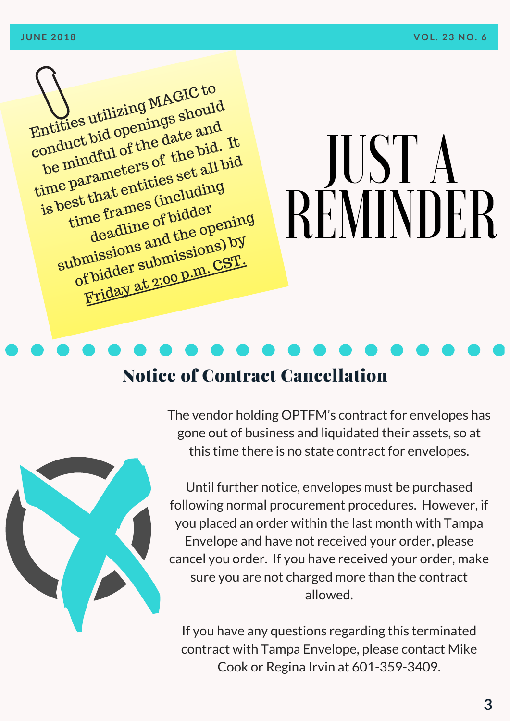Entities utilizing MAGIC to conduct bid openings should be mindful of the date and time parameters of the bid. It<br>is best that entities set all bid<br>is best that entities set all bid<br>time frames (including is best that entities set all bid time frames (including le frames of bidder time headline of blue<br>deadline of blue<br>submissions and the opening of bidder submissions) by Friday at 2:00 p.m. CST.

# JUST A REMINDER

# Notice of Contract Cancellation



The vendor holding OPTFM's contract for envelopes has gone out of business and liquidated their assets, so at this time there is no state contract for envelopes.

Until further notice, envelopes must be purchased following normal procurement procedures. However, if you placed an order within the last month with Tampa Envelope and have not received your order, please cancel you order. If you have received your order, make sure you are not charged more than the contract allowed.

If you have any questions regarding this terminated contract with Tampa Envelope, please contact Mike Cook or Regina Irvin at 601-359-3409.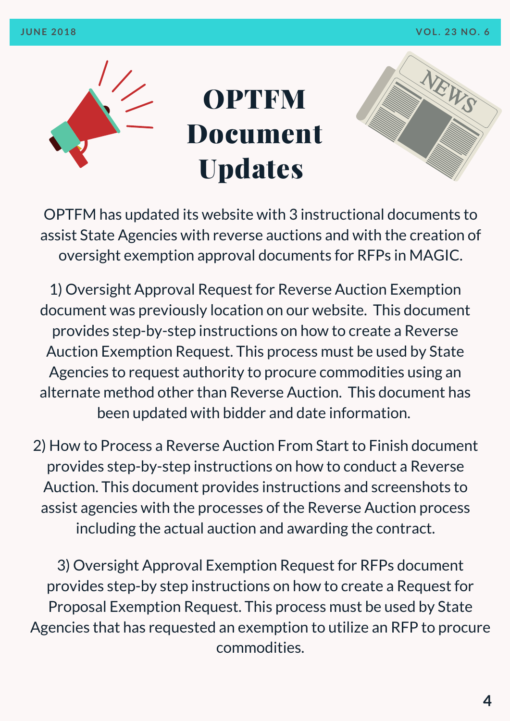



OPTFM has updated its website with 3 instructional documents to assist State Agencies with reverse auctions and with the creation of oversight exemption approval documents for RFPs in MAGIC.

1) Oversight Approval Request for Reverse Auction Exemption document was previously location on our website. This document provides step-by-step instructions on how to create a Reverse Auction Exemption Request. This process must be used by State Agencies to request authority to procure [commodities](http://www.dfa.ms.gov/media/6879/oversight-approval-request-for-reverse-auction-exemption_updated-20180620.pdf) using an alternate method other than Reverse Auction. This document has been updated with bidder and date information.

2) How to Process a Reverse Auction From Start to Finish document provides [step-by-step](http://www.dfa.ms.gov/media/6882/converting-a-reverse-auction-into-a-contract-training-guide.pdf) instructions on how to conduct a Reverse Auction. This document provides instructions and screenshots to assist agencies with the processes of the Reverse Auction process including the actual auction and awarding the contract.

3) Oversight Approval Exemption Request for RFPs document provides step-by step instructions on how to create a Request for Proposal Exemption Request. This process must be used by State Agencies that has requested an exemption to utilize an RFP to procure [commodities.](http://www.dfa.ms.gov/media/6880/oversight-approval-request-for-request-for-proposals_updated-20180621.pdf)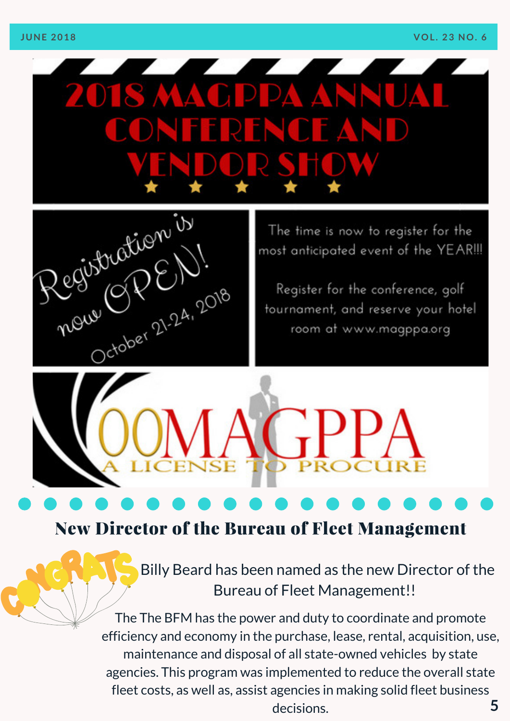



The time is now to register for the most anticipated event of the YEAR!!!

Register for the conference, golf tournament, and reserve your hotel room at www.magppa.org

## New Director of the Bureau of Fleet Management

Billy Beard has been named as the new Director of the Bureau of Fleet [Management!!](http://www.dfa.ms.gov/media/1567/travelcardprogramcoordinatordesignation.pdf)

**5** The The BFM has the power and duty to coordinate and promote efficiency and economy in the purchase, lease, rental, acquisition, use, maintenance and disposal of all state-owned vehicles by state agencies. This program was [implemented](http://www.dfa.ms.gov/media/1567/travelcardprogramcoordinatordesignation.pdf) to reduce the overall state fleet costs, as well as, assist agencies in making solid fleet business decisions.